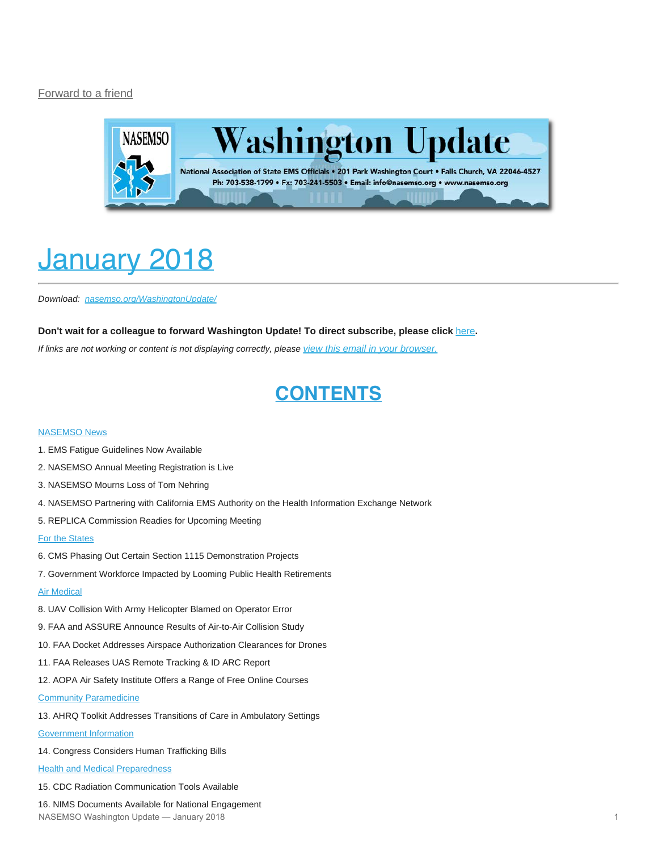#### [Forward to a friend](http://us13.forward-to-friend.com/forward?u=bdaf9a0cf267d423437d7b149&id=58b0f9c550&e=[UNIQID])



# <span id="page-0-0"></span>January 2018

*Download: [nasemso.org/WashingtonUpdate/](http://www.nasemso.org/WashingtonUpdate/)*

#### **Don't wait for a colleague to forward Washington Update! To direct subscribe, please click** [here](http://eepurl.com/cb1_dP)**.**

*If links are not working or content is not displaying correctly, please [view this email in your browser.](http://mailchi.mp/bf3cb588624b/washington-update-january-2018?e=[UNIQID])*

### **CONTENTS**

#### [NASEMSO News](#page-1-0)

- 1. EMS Fatigue Guidelines Now Available
- 2. NASEMSO Annual Meeting Registration is Live
- 3. NASEMSO Mourns Loss of Tom Nehring
- 4. NASEMSO Partnering with California EMS Authority on the Health Information Exchange Network
- 5. REPLICA Commission Readies for Upcoming Meeting

#### [For the States](#page-3-0)

- 6. CMS Phasing Out Certain Section 1115 Demonstration Projects
- 7. Government Workforce Impacted by Looming Public Health Retirements

#### **[Air Medical](#page-4-0)**

- 8. UAV Collision With Army Helicopter Blamed on Operator Error
- 9. FAA and ASSURE Announce Results of Air-to-Air Collision Study
- 10. FAA Docket Addresses Airspace Authorization Clearances for Drones
- 11. FAA Releases UAS Remote Tracking & ID ARC Report
- 12. AOPA Air Safety Institute Offers a Range of Free Online Courses

#### [Community Paramedicine](#page-6-0)

13. AHRQ Toolkit Addresses Transitions of Care in Ambulatory Settings

#### [Government Information](#page-6-1)

14. Congress Considers Human Trafficking Bills

**[Health and Medical Preparedness](#page-7-0)** 

15. CDC Radiation Communication Tools Available

16. NIMS Documents Available for National Engagement NASEMSO Washington Update — January 2018 1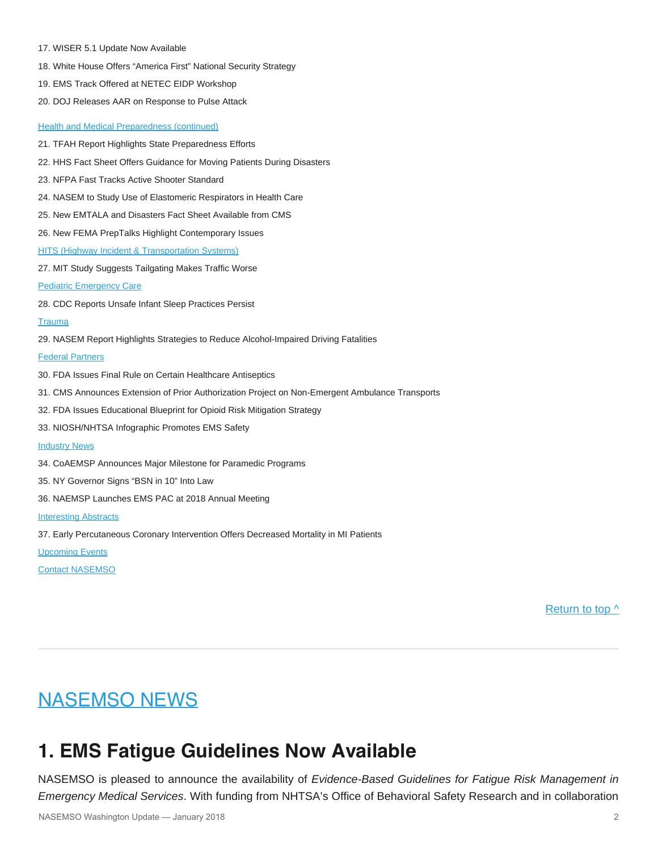- 17. WISER 5.1 Update Now Available
- 18. White House Offers "America First" National Security Strategy
- 19. EMS Track Offered at NETEC EIDP Workshop
- 20. DOJ Releases AAR on Response to Pulse Attack

- [Health and Medical Preparedness \(continued\)](#page-7-0) 21. TFAH Report Highlights State Preparedness Efforts 22. HHS Fact Sheet Offers Guidance for Moving Patients During Disasters 23. NFPA Fast Tracks Active Shooter Standard 24. NASEM to Study Use of Elastomeric Respirators in Health Care 25. New EMTALA and Disasters Fact Sheet Available from CMS 26. New FEMA PrepTalks Highlight Contemporary Issues **[HITS \(Highway Incident & Transportation Systems\)](#page-10-0)** 27. MIT Study Suggests Tailgating Makes Traffic Worse [Pediatric Emergency Care](#page-10-1) 28. CDC Reports Unsafe Infant Sleep Practices Persist **[Trauma](#page-11-0)** 29. NASEM Report Highlights Strategies to Reduce Alcohol-Impaired Driving Fatalities [Federal Partners](#page-11-1) 30. FDA Issues Final Rule on Certain Healthcare Antiseptics 31. CMS Announces Extension of Prior Authorization Project on Non-Emergent Ambulance Transports 32. FDA Issues Educational Blueprint for Opioid Risk Mitigation Strategy 33. NIOSH/NHTSA Infographic Promotes EMS Safety **[Industry News](#page-12-0)** 34. CoAEMSP Announces Major Milestone for Paramedic Programs 35. NY Governor Signs "BSN in 10" Into Law
- 36. NAEMSP Launches EMS PAC at 2018 Annual Meeting

#### [Interesting Abstracts](#page-13-0)

37. Early Percutaneous Coronary Intervention Offers Decreased Mortality in MI Patients

[Upcoming Events](#page-14-0)

[Contact NASEMSO](#page-17-0)

Return to top  $\wedge$ 

### <span id="page-1-0"></span>**NASEMSO NEWS**

### **1. EMS Fatigue Guidelines Now Available**

NASEMSO is pleased to announce the availability of *Evidence-Based Guidelines for Fatigue Risk Management in Emergency Medical Services*. With funding from NHTSA's Office of Behavioral Safety Research and in collaboration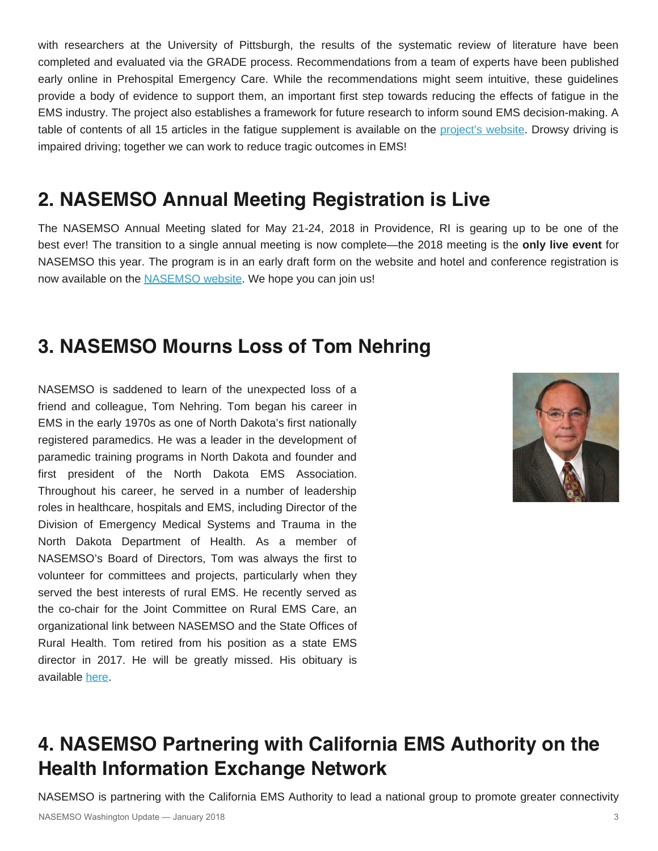with researchers at the University of Pittsburgh, the results of the systematic review of literature have been completed and evaluated via the GRADE process. Recommendations from a team of experts have been published early online in Prehospital Emergency Care. While the recommendations might seem intuitive, these guidelines provide a body of evidence to support them, an important first step towards reducing the effects of fatigue in the EMS industry. The project also establishes a framework for future research to inform sound EMS decision-making. A table of contents of all 15 articles in the fatigue supplement is available on the [project's website](http://www.emsfatigue.org/). Drowsy driving is impaired driving; together we can work to reduce tragic outcomes in EMS!

### **2. NASEMSO Annual Meeting Registration is Live**

The NASEMSO Annual Meeting slated for May 21-24, 2018 in Providence, RI is gearing up to be one of the best ever! The transition to a single annual meeting is now complete—the 2018 meeting is the **only live event** for NASEMSO this year. The program is in an early draft form on the website and hotel and conference registration is now available on the [NASEMSO website](http://nasemso.org/Meetings/Annual/2018/index.asp#Registration). We hope you can join us!

### **3. NASEMSO Mourns Loss of Tom Nehring**

NASEMSO is saddened to learn of the unexpected loss of a friend and colleague, Tom Nehring. Tom began his career in EMS in the early 1970s as one of North Dakota's first nationally registered paramedics. He was a leader in the development of paramedic training programs in North Dakota and founder and first president of the North Dakota EMS Association. Throughout his career, he served in a number of leadership roles in healthcare, hospitals and EMS, including Director of the Division of Emergency Medical Systems and Trauma in the North Dakota Department of Health. As a member of NASEMSO's Board of Directors, Tom was always the first to volunteer for committees and projects, particularly when they served the best interests of rural EMS. He recently served as the co-chair for the Joint Committee on Rural EMS Care, an organizational link between NASEMSO and the State Offices of Rural Health. Tom retired from his position as a state EMS director in 2017. He will be greatly missed. His obituary is available [here.](http://www.minotdailynews.com/obituaries/2018/01/tom-nehring)



# **4. NASEMSO Partnering with California EMS Authority on the Health Information Exchange Network**

NASEMSO is partnering with the California EMS Authority to lead a national group to promote greater connectivity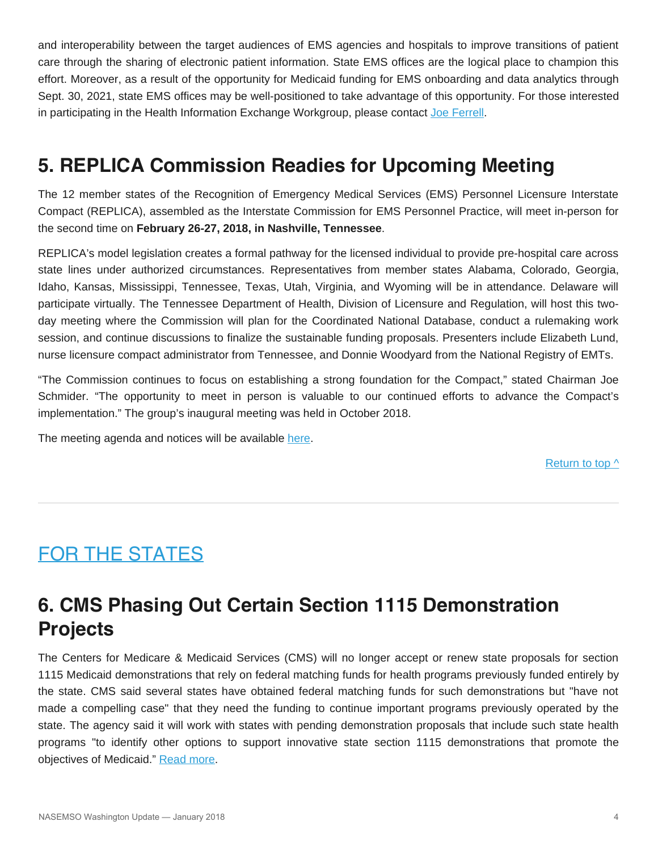and interoperability between the target audiences of EMS agencies and hospitals to improve transitions of patient care through the sharing of electronic patient information. State EMS offices are the logical place to champion this effort. Moreover, as a result of the opportunity for Medicaid funding for EMS onboarding and data analytics through Sept. 30, 2021, state EMS offices may be well-positioned to take advantage of this opportunity. For those interested in participating in the Health Information Exchange Workgroup, please contact [Joe Ferrell.](mailto:joe@nasemso.org)

### **5. REPLICA Commission Readies for Upcoming Meeting**

The 12 member states of the Recognition of Emergency Medical Services (EMS) Personnel Licensure Interstate Compact (REPLICA), assembled as the Interstate Commission for EMS Personnel Practice, will meet in-person for the second time on **February 26-27, 2018, in Nashville, Tennessee**.

REPLICA's model legislation creates a formal pathway for the licensed individual to provide pre-hospital care across state lines under authorized circumstances. Representatives from member states Alabama, Colorado, Georgia, Idaho, Kansas, Mississippi, Tennessee, Texas, Utah, Virginia, and Wyoming will be in attendance. Delaware will participate virtually. The Tennessee Department of Health, Division of Licensure and Regulation, will host this twoday meeting where the Commission will plan for the Coordinated National Database, conduct a rulemaking work session, and continue discussions to finalize the sustainable funding proposals. Presenters include Elizabeth Lund, nurse licensure compact administrator from Tennessee, and Donnie Woodyard from the National Registry of EMTs.

"The Commission continues to focus on establishing a strong foundation for the Compact," stated Chairman Joe Schmider. "The opportunity to meet in person is valuable to our continued efforts to advance the Compact's implementation." The group's inaugural meeting was held in October 2018.

The meeting agenda and notices will be available [here](http://www.emsreplica.org/commission/).

[Return to top ^](#page-0-0)

# <span id="page-3-0"></span>FOR THE STATES

# **6. CMS Phasing Out Certain Section 1115 Demonstration Projects**

The Centers for Medicare & Medicaid Services (CMS) will no longer accept or renew state proposals for section 1115 Medicaid demonstrations that rely on federal matching funds for health programs previously funded entirely by the state. CMS said several states have obtained federal matching funds for such demonstrations but "have not made a compelling case" that they need the funding to continue important programs previously operated by the state. The agency said it will work with states with pending demonstration proposals that include such state health programs "to identify other options to support innovative state section 1115 demonstrations that promote the objectives of Medicaid." [Read more](https://www.medicaid.gov/federal-policy-guidance/downloads/smd17005.pdf).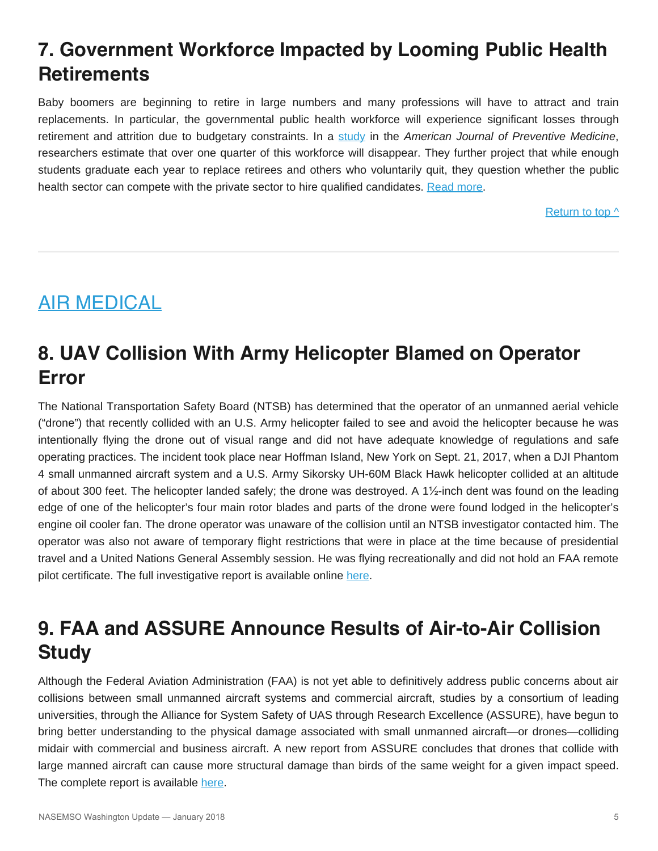# **7. Government Workforce Impacted by Looming Public Health Retirements**

Baby boomers are beginning to retire in large numbers and many professions will have to attract and train replacements. In particular, the governmental public health workforce will experience significant losses through retirement and attrition due to budgetary constraints. In a [study](http://www.ajpmonline.org/article/S0749-3797(17)30649-9/fulltext) in the *American Journal of Preventive Medicine*, researchers estimate that over one quarter of this workforce will disappear. They further project that while enough students graduate each year to replace retirees and others who voluntarily quit, they question whether the public health sector can compete with the private sector to hire qualified candidates. [Read more](https://www.elsevier.com/about/press-releases/research-and-journals/will-there-be-enough-public-health-workers-when-baby-boomers-retire).

[Return to top ^](#page-0-0)

# <span id="page-4-0"></span>AIR MEDICAL

### **8. UAV Collision With Army Helicopter Blamed on Operator Error**

The National Transportation Safety Board (NTSB) has determined that the operator of an unmanned aerial vehicle ("drone") that recently collided with an U.S. Army helicopter failed to see and avoid the helicopter because he was intentionally flying the drone out of visual range and did not have adequate knowledge of regulations and safe operating practices. The incident took place near Hoffman Island, New York on Sept. 21, 2017, when a DJI Phantom 4 small unmanned aircraft system and a U.S. Army Sikorsky UH-60M Black Hawk helicopter collided at an altitude of about 300 feet. The helicopter landed safely; the drone was destroyed. A 1½-inch dent was found on the leading edge of one of the helicopter's four main rotor blades and parts of the drone were found lodged in the helicopter's engine oil cooler fan. The drone operator was unaware of the collision until an NTSB investigator contacted him. The operator was also not aware of temporary flight restrictions that were in place at the time because of presidential travel and a United Nations General Assembly session. He was flying recreationally and did not hold an FAA remote pilot certificate. The full investigative report is available online [here](https://go.usa.gov/xnnkh).

### **9. FAA and ASSURE Announce Results of Air-to-Air Collision Study**

Although the Federal Aviation Administration (FAA) is not yet able to definitively address public concerns about air collisions between small unmanned aircraft systems and commercial aircraft, studies by a consortium of leading universities, through the Alliance for System Safety of UAS through Research Excellence (ASSURE), have begun to bring better understanding to the physical damage associated with small unmanned aircraft—or drones—colliding midair with commercial and business aircraft. A new report from ASSURE concludes that drones that collide with large manned aircraft can cause more structural damage than birds of the same weight for a given impact speed. The complete report is available [here](http://www.assureuas.org/projects/deliverables/sUASAirborneCollisionReport.php).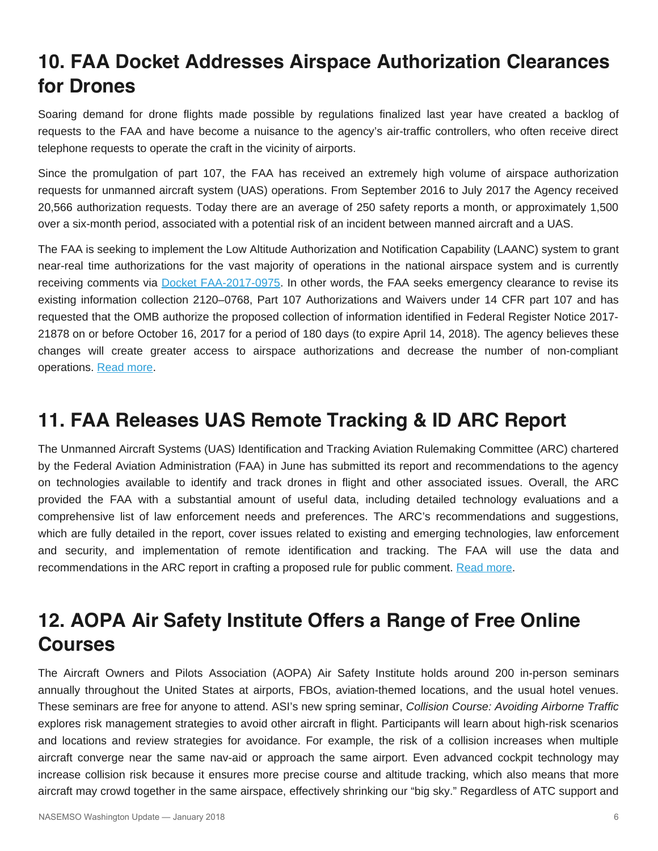### **10. FAA Docket Addresses Airspace Authorization Clearances for Drones**

Soaring demand for drone flights made possible by regulations finalized last year have created a backlog of requests to the FAA and have become a nuisance to the agency's air-traffic controllers, who often receive direct telephone requests to operate the craft in the vicinity of airports.

Since the promulgation of part 107, the FAA has received an extremely high volume of airspace authorization requests for unmanned aircraft system (UAS) operations. From September 2016 to July 2017 the Agency received 20,566 authorization requests. Today there are an average of 250 safety reports a month, or approximately 1,500 over a six-month period, associated with a potential risk of an incident between manned aircraft and a UAS.

The FAA is seeking to implement the Low Altitude Authorization and Notification Capability (LAANC) system to grant near-real time authorizations for the vast majority of operations in the national airspace system and is currently receiving comments via [Docket FAA-2017-0975](https://www.regulations.gov/document?D=FAA-2017-0975-0001). In other words, the FAA seeks emergency clearance to revise its existing information collection 2120–0768, Part 107 Authorizations and Waivers under 14 CFR part 107 and has requested that the OMB authorize the proposed collection of information identified in Federal Register Notice 2017- 21878 on or before October 16, 2017 for a period of 180 days (to expire April 14, 2018). The agency believes these changes will create greater access to airspace authorizations and decrease the number of non-compliant operations. [Read more](https://www.federalregister.gov/documents/2017/10/11/2017-21878/request-for-emergency-processing-of-collection-of-information-by-the-office-of-management-and-budget).

### **11. FAA Releases UAS Remote Tracking & ID ARC Report**

The Unmanned Aircraft Systems (UAS) Identification and Tracking Aviation Rulemaking Committee (ARC) chartered by the Federal Aviation Administration (FAA) in June has submitted its report and recommendations to the agency on technologies available to identify and track drones in flight and other associated issues. Overall, the ARC provided the FAA with a substantial amount of useful data, including detailed technology evaluations and a comprehensive list of law enforcement needs and preferences. The ARC's recommendations and suggestions, which are fully detailed in the report, cover issues related to existing and emerging technologies, law enforcement and security, and implementation of remote identification and tracking. The FAA will use the data and recommendations in the ARC report in crafting a proposed rule for public comment. [Read more.](http://www.faa.gov/regulations_policies/rulemaking/committees/documents/media/UAS ID ARC Final Report with Appendices.pdf)

### **12. AOPA Air Safety Institute Offers a Range of Free Online Courses**

The Aircraft Owners and Pilots Association (AOPA) Air Safety Institute holds around 200 in-person seminars annually throughout the United States at airports, FBOs, aviation-themed locations, and the usual hotel venues. These seminars are free for anyone to attend. ASI's new spring seminar, *Collision Course: Avoiding Airborne Traffic* explores risk management strategies to avoid other aircraft in flight. Participants will learn about high-risk scenarios and locations and review strategies for avoidance. For example, the risk of a collision increases when multiple aircraft converge near the same nav-aid or approach the same airport. Even advanced cockpit technology may increase collision risk because it ensures more precise course and altitude tracking, which also means that more aircraft may crowd together in the same airspace, effectively shrinking our "big sky." Regardless of ATC support and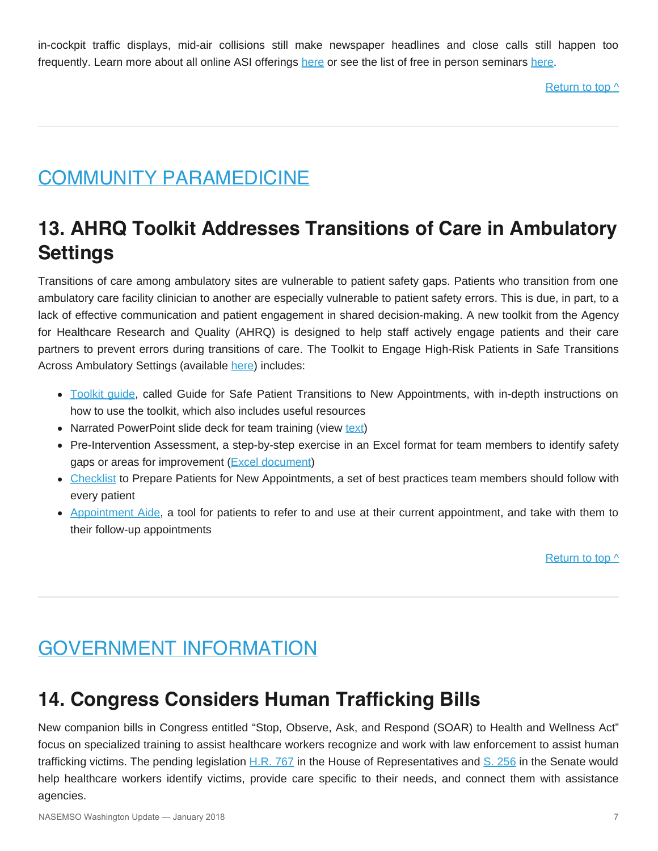in-cockpit traffic displays, mid-air collisions still make newspaper headlines and close calls still happen too frequently. Learn more about all online ASI offerings [here](https://www.aopa.org/training-and-safety) or see the list of free in person seminars [here](https://www.aopa.org/forms/event-calendar/SAFETY_SEMINAR#gridFlybyNight).

[Return to top ^](#page-0-0)

# <span id="page-6-0"></span>COMMUNITY PARAMEDICINE

# **13. AHRQ Toolkit Addresses Transitions of Care in Ambulatory Settings**

Transitions of care among ambulatory sites are vulnerable to patient safety gaps. Patients who transition from one ambulatory care facility clinician to another are especially vulnerable to patient safety errors. This is due, in part, to a lack of effective communication and patient engagement in shared decision-making. A new toolkit from the Agency for Healthcare Research and Quality (AHRQ) is designed to help staff actively engage patients and their care partners to prevent errors during transitions of care. The Toolkit to Engage High-Risk Patients in Safe Transitions Across Ambulatory Settings (available [here](https://www.ahrq.gov/sites/default/files/wysiwyg/professionals/quality-patient-safety/hais/tools/ambulatory-surgery/safetransitions/safetrans_toolkit.pdf)) includes:

- [Toolkit guide,](https://www.ahrq.gov/sites/default/files/wysiwyg/professionals/quality-patient-safety/hais/tools/ambulatory-surgery/safetransitions/safetrans_guide.pdf) called Guide for Safe Patient Transitions to New Appointments, with in-depth instructions on how to use the toolkit, which also includes useful resources
- Narrated PowerPoint slide deck for team training (view [text](https://www.ahrq.gov/professionals/quality-patient-safety/quality-resources/tools/ambulatory-care/safetransitions/safetransitions-slides.html))
- Pre-Intervention Assessment, a step-by-step exercise in an Excel format for team members to identify safety gaps or areas for improvement ([Excel document](https://www.ahrq.gov/sites/default/files/wysiwyg/professionals/quality-patient-safety/hais/tools/ambulatory-surgery/safetransitions/hret-preinterventionasst.xlsx))
- [Checklist](https://www.ahrq.gov/sites/default/files/wysiwyg/professionals/quality-patient-safety/hais/tools/ambulatory-surgery/safetransitions/safetrans_checklist.pdf) to Prepare Patients for New Appointments, a set of best practices team members should follow with every patient
- [Appointment Aide](https://www.ahrq.gov/sites/default/files/wysiwyg/professionals/quality-patient-safety/hais/tools/ambulatory-surgery/safetransitions/safetrans_apptaide.pdf), a tool for patients to refer to and use at their current appointment, and take with them to their follow-up appointments

Return to top  $\wedge$ 

### <span id="page-6-1"></span>**GOVERNMENT INFORMATION**

### **14. Congress Considers Human Trafficking Bills**

New companion bills in Congress entitled "Stop, Observe, Ask, and Respond (SOAR) to Health and Wellness Act" focus on specialized training to assist healthcare workers recognize and work with law enforcement to assist human trafficking victims. The pending legislation  $H.R. 767$  in the House of Representatives and  $S. 256$  in the Senate would help healthcare workers identify victims, provide care specific to their needs, and connect them with assistance agencies.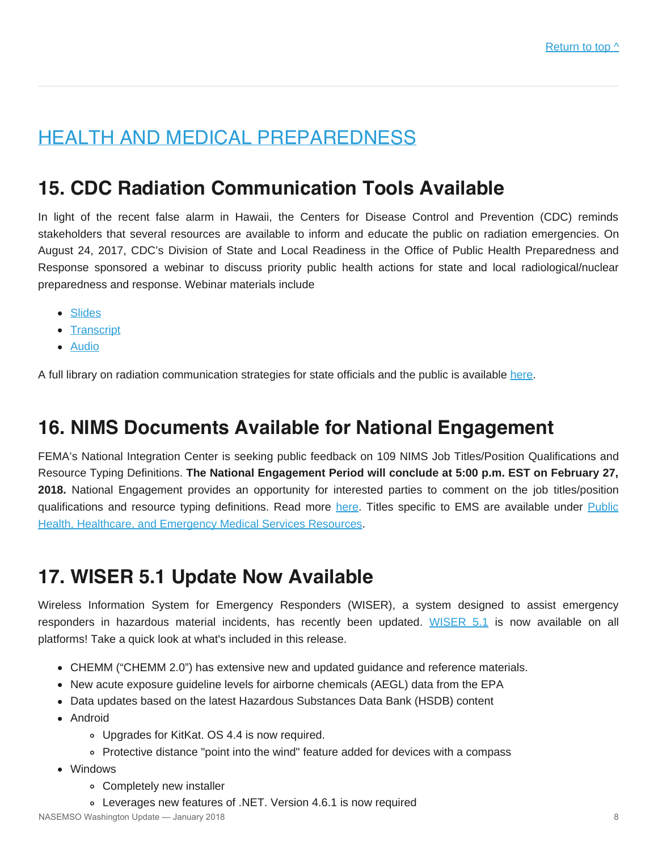# <span id="page-7-0"></span>HEALTH AND MEDICAL PREPAREDNESS

### **15. CDC Radiation Communication Tools Available**

In light of the recent false alarm in Hawaii, the Centers for Disease Control and Prevention (CDC) reminds stakeholders that several resources are available to inform and educate the public on radiation emergencies. On August 24, 2017, CDC's Division of State and Local Readiness in the Office of Public Health Preparedness and Response sponsored a webinar to discuss priority public health actions for state and local radiological/nuclear preparedness and response. Webinar materials include

- [Slides](https://emergency.cdc.gov/radiation/webinar/slides_082417_radiological_and_nuclear_preparedness.pdf)
- [Transcript](https://emergency.cdc.gov/radiation/webinar_082417.asp#transcript)
- [Audio](https://emergency.cdc.gov/radiation/webinar/audio_082417_radiological_and_nuclear_preparedness.wav)

A full library on radiation communication strategies for state officials and the public is available [here](https://emergency.cdc.gov/radiation/).

### **16. NIMS Documents Available for National Engagement**

FEMA's National Integration Center is seeking public feedback on 109 NIMS Job Titles/Position Qualifications and Resource Typing Definitions. **The National Engagement Period will conclude at 5:00 p.m. EST on February 27, 2018.** National Engagement provides an opportunity for interested parties to comment on the job titles/position qualifications and resource typing definitions. Read more [here](https://www.fema.gov/national-incident-management-system/national-engagement). Titles specific to EMS are available under [Public](https://www.fema.gov/media-library/assets/documents/157426) [Health, Healthcare, and Emergency Medical Services Resources.](https://www.fema.gov/media-library/assets/documents/157426)

### **17. WISER 5.1 Update Now Available**

Wireless Information System for Emergency Responders (WISER), a system designed to assist emergency responders in hazardous material incidents, has recently been updated. [WISER 5.1](https://wiser.nlm.nih.gov/index.html) is now available on all platforms! Take a quick look at what's included in this release.

- CHEMM ("CHEMM 2.0") has extensive new and updated guidance and reference materials.
- New acute exposure guideline levels for airborne chemicals (AEGL) data from the EPA
- Data updates based on the latest Hazardous Substances Data Bank (HSDB) content
- Android
	- Upgrades for KitKat. OS 4.4 is now required.
	- Protective distance "point into the wind" feature added for devices with a compass
- Windows
	- Completely new installer
	- Leverages new features of .NET. Version 4.6.1 is now required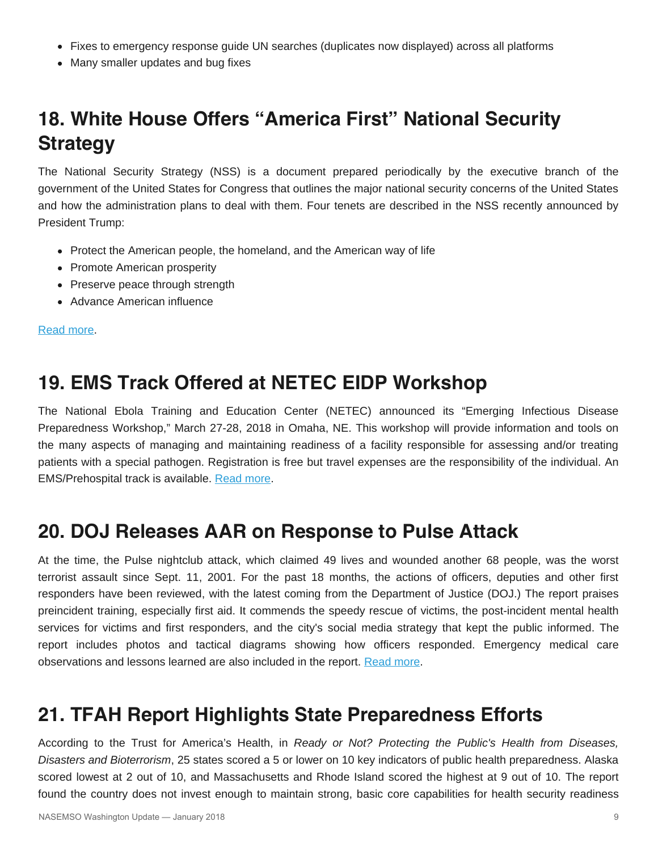- Fixes to emergency response guide UN searches (duplicates now displayed) across all platforms
- Many smaller updates and bug fixes

# **18. White House Offers "America First" National Security Strategy**

The National Security Strategy (NSS) is a document prepared periodically by the executive branch of the government of the United States for Congress that outlines the major national security concerns of the United States and how the administration plans to deal with them. Four tenets are described in the NSS recently announced by President Trump:

- Protect the American people, the homeland, and the American way of life
- Promote American prosperity
- Preserve peace through strength
- Advance American influence

[Read more.](https://www.whitehouse.gov/wp-content/uploads/2017/12/NSS-Final-12-18-2017-0905.pdf)

### **19. EMS Track Offered at NETEC EIDP Workshop**

The National Ebola Training and Education Center (NETEC) announced its "Emerging Infectious Disease Preparedness Workshop," March 27-28, 2018 in Omaha, NE. This workshop will provide information and tools on the many aspects of managing and maintaining readiness of a facility responsible for assessing and/or treating patients with a special pathogen. Registration is free but travel expenses are the responsibility of the individual. An EMS/Prehospital track is available. [Read more](https://netec.org/wp-content/uploads/2017/10/NETEC-2018-Course-Flyer.pdf).

### **20. DOJ Releases AAR on Response to Pulse Attack**

At the time, the Pulse nightclub attack, which claimed 49 lives and wounded another 68 people, was the worst terrorist assault since Sept. 11, 2001. For the past 18 months, the actions of officers, deputies and other first responders have been reviewed, with the latest coming from the Department of Justice (DOJ.) The report praises preincident training, especially first aid. It commends the speedy rescue of victims, the post-incident mental health services for victims and first responders, and the city's social media strategy that kept the public informed. The report includes photos and tactical diagrams showing how officers responded. Emergency medical care observations and lessons learned are also included in the report. [Read more.](https://ric-zai-inc.com/Publications/cops-w0857-pub.pdf)

### **21. TFAH Report Highlights State Preparedness Efforts**

According to the Trust for America's Health, in *Ready or Not? Protecting the Public's Health from Diseases, Disasters and Bioterrorism*, 25 states scored a 5 or lower on 10 key indicators of public health preparedness. Alaska scored lowest at 2 out of 10, and Massachusetts and Rhode Island scored the highest at 9 out of 10. The report found the country does not invest enough to maintain strong, basic core capabilities for health security readiness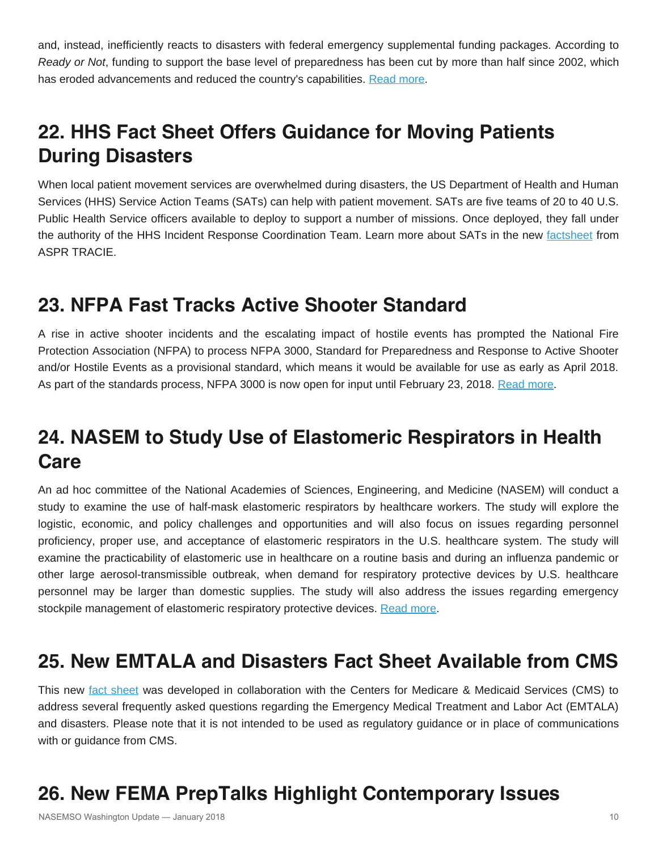and, instead, inefficiently reacts to disasters with federal emergency supplemental funding packages. According to *Ready or Not*, funding to support the base level of preparedness has been cut by more than half since 2002, which has eroded advancements and reduced the country's capabilities. [Read more](http://healthyamericans.org/reports/readyornot2017/).

# **22. HHS Fact Sheet Offers Guidance for Moving Patients During Disasters**

When local patient movement services are overwhelmed during disasters, the US Department of Health and Human Services (HHS) Service Action Teams (SATs) can help with patient movement. SATs are five teams of 20 to 40 U.S. Public Health Service officers available to deploy to support a number of missions. Once deployed, they fall under the authority of the HHS Incident Response Coordination Team. Learn more about SATs in the new [factsheet](https://asprtracie.s3.amazonaws.com/documents/aspr-tracie-federal-patient-movement-sat-fact-sheet.pdf) from ASPR TRACIE.

### **23. NFPA Fast Tracks Active Shooter Standard**

A rise in active shooter incidents and the escalating impact of hostile events has prompted the National Fire Protection Association (NFPA) to process NFPA 3000, Standard for Preparedness and Response to Active Shooter and/or Hostile Events as a provisional standard, which means it would be available for use as early as April 2018. As part of the standards process, NFPA 3000 is now open for input until February 23, 2018. [Read more](http://www.nfpa.org/3000).

# **24. NASEM to Study Use of Elastomeric Respirators in Health Care**

An ad hoc committee of the National Academies of Sciences, Engineering, and Medicine (NASEM) will conduct a study to examine the use of half-mask elastomeric respirators by healthcare workers. The study will explore the logistic, economic, and policy challenges and opportunities and will also focus on issues regarding personnel proficiency, proper use, and acceptance of elastomeric respirators in the U.S. healthcare system. The study will examine the practicability of elastomeric use in healthcare on a routine basis and during an influenza pandemic or other large aerosol-transmissible outbreak, when demand for respiratory protective devices by U.S. healthcare personnel may be larger than domestic supplies. The study will also address the issues regarding emergency stockpile management of elastomeric respiratory protective devices. [Read more](http://www8.nationalacademies.org/cp/projectview.aspx?key=HMD-HSP-17-17).

### **25. New EMTALA and Disasters Fact Sheet Available from CMS**

This new [fact sheet](https://asprtracie.s3.amazonaws.com/documents/aspr-tracie-fact-sheet-emtala-and-disasters.pdf) was developed in collaboration with the Centers for Medicare & Medicaid Services (CMS) to address several frequently asked questions regarding the Emergency Medical Treatment and Labor Act (EMTALA) and disasters. Please note that it is not intended to be used as regulatory guidance or in place of communications with or guidance from CMS.

### **26. New FEMA PrepTalks Highlight Contemporary Issues**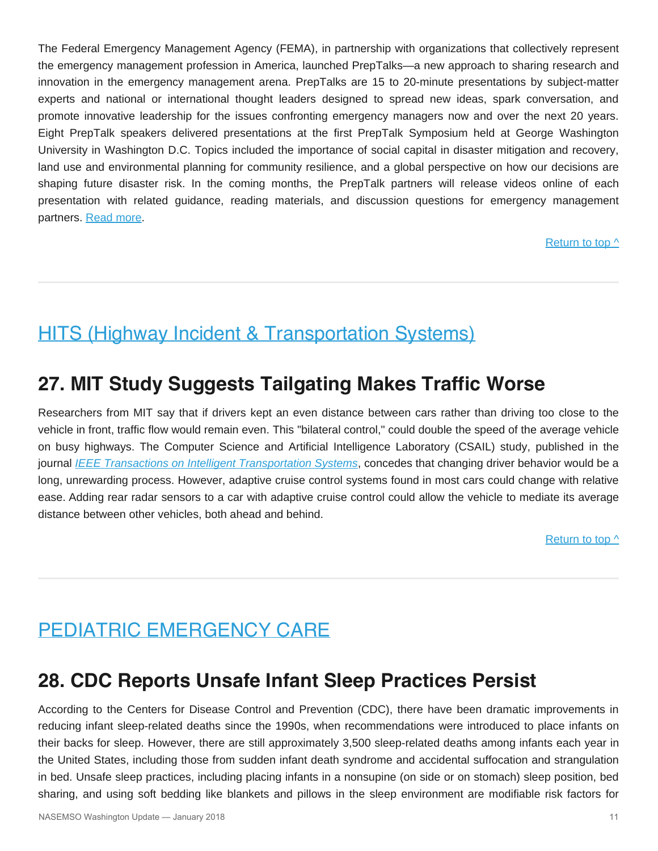The Federal Emergency Management Agency (FEMA), in partnership with organizations that collectively represent the emergency management profession in America, launched PrepTalks—a new approach to sharing research and innovation in the emergency management arena. PrepTalks are 15 to 20-minute presentations by subject-matter experts and national or international thought leaders designed to spread new ideas, spark conversation, and promote innovative leadership for the issues confronting emergency managers now and over the next 20 years. Eight PrepTalk speakers delivered presentations at the first PrepTalk Symposium held at George Washington University in Washington D.C. Topics included the importance of social capital in disaster mitigation and recovery, land use and environmental planning for community resilience, and a global perspective on how our decisions are shaping future disaster risk. In the coming months, the PrepTalk partners will release videos online of each presentation with related guidance, reading materials, and discussion questions for emergency management partners. Read more.

### [Return to top ^](#page-0-0)

### <span id="page-10-0"></span>HITS (Highway Incident & Transportation Systems)

### **27. MIT Study Suggests Tailgating Makes Traffic Worse**

Researchers from MIT say that if drivers kept an even distance between cars rather than driving too close to the vehicle in front, traffic flow would remain even. This "bilateral control," could double the speed of the average vehicle on busy highways. The Computer Science and Artificial Intelligence Laboratory (CSAIL) study, published in the journal *[IEEE Transactions on Intelligent Transportation Systems](http://ieeexplore.ieee.org/document/8166801/)*, concedes that changing driver behavior would be a long, unrewarding process. However, adaptive cruise control systems found in most cars could change with relative ease. Adding rear radar sensors to a car with adaptive cruise control could allow the vehicle to mediate its average distance between other vehicles, both ahead and behind.

[Return to top ^](#page-0-0)

### <span id="page-10-1"></span>PEDIATRIC EMERGENCY CARE

### **28. CDC Reports Unsafe Infant Sleep Practices Persist**

According to the Centers for Disease Control and Prevention (CDC), there have been dramatic improvements in reducing infant sleep-related deaths since the 1990s, when recommendations were introduced to place infants on their backs for sleep. However, there are still approximately 3,500 sleep-related deaths among infants each year in the United States, including those from sudden infant death syndrome and accidental suffocation and strangulation in bed. Unsafe sleep practices, including placing infants in a nonsupine (on side or on stomach) sleep position, bed sharing, and using soft bedding like blankets and pillows in the sleep environment are modifiable risk factors for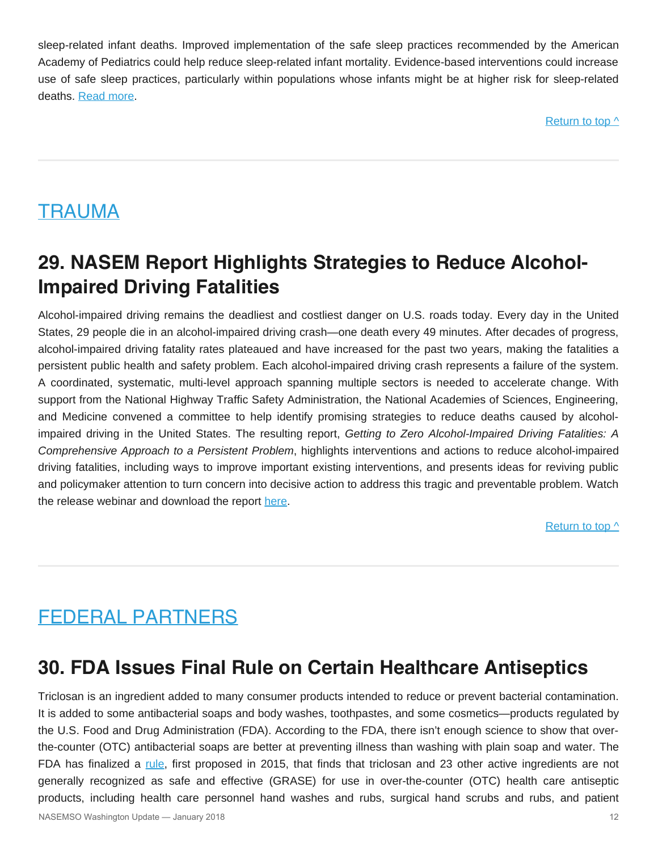sleep-related infant deaths. Improved implementation of the safe sleep practices recommended by the American Academy of Pediatrics could help reduce sleep-related infant mortality. Evidence-based interventions could increase use of safe sleep practices, particularly within populations whose infants might be at higher risk for sleep-related deaths. [Read more](https://www.cdc.gov/mmwr/volumes/67/wr/mm6701e1.htm).

Return to top  $\wedge$ 

### <span id="page-11-0"></span>**TRAUMA**

# **29. NASEM Report Highlights Strategies to Reduce Alcohol-Impaired Driving Fatalities**

Alcohol-impaired driving remains the deadliest and costliest danger on U.S. roads today. Every day in the United States, 29 people die in an alcohol-impaired driving crash—one death every 49 minutes. After decades of progress, alcohol-impaired driving fatality rates plateaued and have increased for the past two years, making the fatalities a persistent public health and safety problem. Each alcohol-impaired driving crash represents a failure of the system. A coordinated, systematic, multi-level approach spanning multiple sectors is needed to accelerate change. With support from the National Highway Traffic Safety Administration, the National Academies of Sciences, Engineering, and Medicine convened a committee to help identify promising strategies to reduce deaths caused by alcoholimpaired driving in the United States. The resulting report, *Getting to Zero Alcohol-Impaired Driving Fatalities: A Comprehensive Approach to a Persistent Problem*, highlights interventions and actions to reduce alcohol-impaired driving fatalities, including ways to improve important existing interventions, and presents ideas for reviving public and policymaker attention to turn concern into decisive action to address this tragic and preventable problem. Watch the release webinar and download the report [here](http://nationalacademies.org/StopDWIdeaths).

[Return to top ^](#page-0-0)

# <span id="page-11-1"></span>FEDERAL PARTNERS

### **30. FDA Issues Final Rule on Certain Healthcare Antiseptics**

Triclosan is an ingredient added to many consumer products intended to reduce or prevent bacterial contamination. It is added to some antibacterial soaps and body washes, toothpastes, and some cosmetics—products regulated by the U.S. Food and Drug Administration (FDA). According to the FDA, there isn't enough science to show that overthe-counter (OTC) antibacterial soaps are better at preventing illness than washing with plain soap and water. The FDA has finalized a [rule](https://www.federalregister.gov/documents/2017/12/20/2017-27317/safety-and-effectiveness-of-health-care-antiseptics-topical-antimicrobial-drug-products-for), first proposed in 2015, that finds that triclosan and 23 other active ingredients are not generally recognized as safe and effective (GRASE) for use in over-the-counter (OTC) health care antiseptic products, including health care personnel hand washes and rubs, surgical hand scrubs and rubs, and patient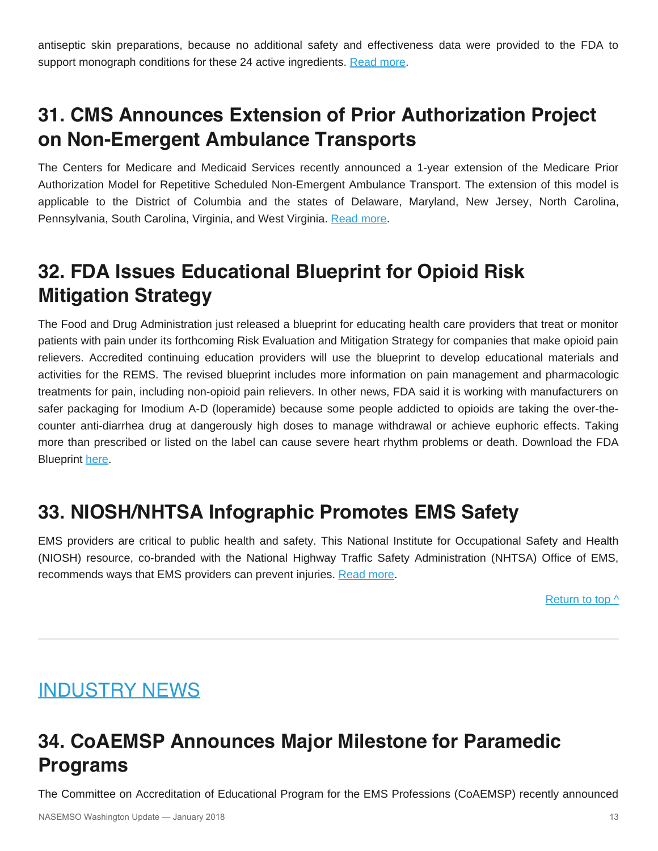antiseptic skin preparations, because no additional safety and effectiveness data were provided to the FDA to support monograph conditions for these 24 active ingredients. [Read more](https://www.fda.gov/NewsEvents/Newsroom/FDAInBrief/ucm589474.htm).

# **31. CMS Announces Extension of Prior Authorization Project on Non-Emergent Ambulance Transports**

The Centers for Medicare and Medicaid Services recently announced a 1-year extension of the Medicare Prior Authorization Model for Repetitive Scheduled Non-Emergent Ambulance Transport. The extension of this model is applicable to the District of Columbia and the states of Delaware, Maryland, New Jersey, North Carolina, Pennsylvania, South Carolina, Virginia, and West Virginia. [Read more](https://www.federalregister.gov/documents/2017/12/12/2017-26759/medicare-program-extension-of-prior-authorization-for-repetitive-scheduled-non-emergent-ambulance).

# **32. FDA Issues Educational Blueprint for Opioid Risk Mitigation Strategy**

The Food and Drug Administration just released a blueprint for educating health care providers that treat or monitor patients with pain under its forthcoming Risk Evaluation and Mitigation Strategy for companies that make opioid pain relievers. Accredited continuing education providers will use the blueprint to develop educational materials and activities for the REMS. The revised blueprint includes more information on pain management and pharmacologic treatments for pain, including non-opioid pain relievers. In other news, FDA said it is working with manufacturers on safer packaging for Imodium A-D (loperamide) because some people addicted to opioids are taking the over-thecounter anti-diarrhea drug at dangerously high doses to manage withdrawal or achieve euphoric effects. Taking more than prescribed or listed on the label can cause severe heart rhythm problems or death. Download the FDA Blueprint [here.](https://www.regulations.gov/contentStreamer?documentId=FDA-2017-D-2497-0683&attachmentNumber=1&contentType=pdf)

### **33. NIOSH/NHTSA Infographic Promotes EMS Safety**

EMS providers are critical to public health and safety. This National Institute for Occupational Safety and Health (NIOSH) resource, co-branded with the National Highway Traffic Safety Administration (NHTSA) Office of EMS, recommends ways that EMS providers can prevent injuries. [Read more.](https://www.cdc.gov/niosh/topics/ems/pdfs/EMS_Provider_Infographic.pdf?s_cid=3ni7d2promo2018)

Return to top  $\wedge$ 

### <span id="page-12-0"></span>INDUSTRY NEWS

# **34. CoAEMSP Announces Major Milestone for Paramedic Programs**

The Committee on Accreditation of Educational Program for the EMS Professions (CoAEMSP) recently announced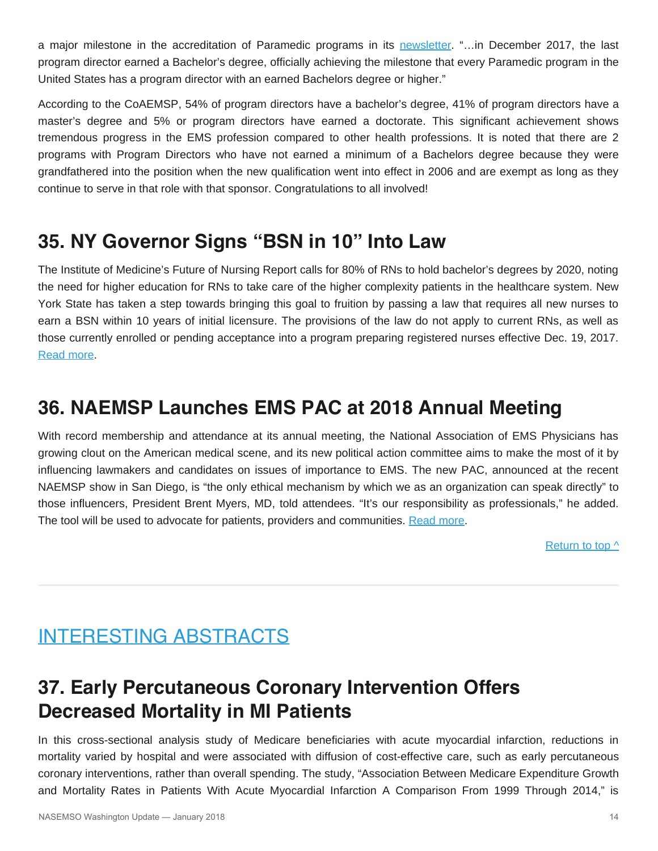a major milestone in the accreditation of Paramedic programs in its [newsletter](http://conta.cc/2GxUSxr). "…in December 2017, the last program director earned a Bachelor's degree, officially achieving the milestone that every Paramedic program in the United States has a program director with an earned Bachelors degree or higher."

According to the CoAEMSP, 54% of program directors have a bachelor's degree, 41% of program directors have a master's degree and 5% or program directors have earned a doctorate. This significant achievement shows tremendous progress in the EMS profession compared to other health professions. It is noted that there are 2 programs with Program Directors who have not earned a minimum of a Bachelors degree because they were grandfathered into the position when the new qualification went into effect in 2006 and are exempt as long as they continue to serve in that role with that sponsor. Congratulations to all involved!

### **35. NY Governor Signs "BSN in 10" Into Law**

The Institute of Medicine's Future of Nursing Report calls for 80% of RNs to hold bachelor's degrees by 2020, noting the need for higher education for RNs to take care of the higher complexity patients in the healthcare system. New York State has taken a step towards bringing this goal to fruition by passing a law that requires all new nurses to earn a BSN within 10 years of initial licensure. The provisions of the law do not apply to current RNs, as well as those currently enrolled or pending acceptance into a program preparing registered nurses effective Dec. 19, 2017. [Read more.](https://www.nurse.com/blog/2017/12/20/new-york-governor-signs-bsn-in-10-into-law-for-nurses/)

### **36. NAEMSP Launches EMS PAC at 2018 Annual Meeting**

With record membership and attendance at its annual meeting, the National Association of EMS Physicians has growing clout on the American medical scene, and its new political action committee aims to make the most of it by influencing lawmakers and candidates on issues of importance to EMS. The new PAC, announced at the recent NAEMSP show in San Diego, is "the only ethical mechanism by which we as an organization can speak directly" to those influencers, President Brent Myers, MD, told attendees. "It's our responsibility as professionals," he added. The tool will be used to advocate for patients, providers and communities. [Read more](http://www.naemsppac.com/).

[Return to top ^](#page-0-0)

### <span id="page-13-0"></span>INTERESTING ABSTRACTS

# **37. Early Percutaneous Coronary Intervention Offers Decreased Mortality in MI Patients**

In this cross-sectional analysis study of Medicare beneficiaries with acute myocardial infarction, reductions in mortality varied by hospital and were associated with diffusion of cost-effective care, such as early percutaneous coronary interventions, rather than overall spending. The study, "Association Between Medicare Expenditure Growth and Mortality Rates in Patients With Acute Myocardial Infarction A Comparison From 1999 Through 2014," is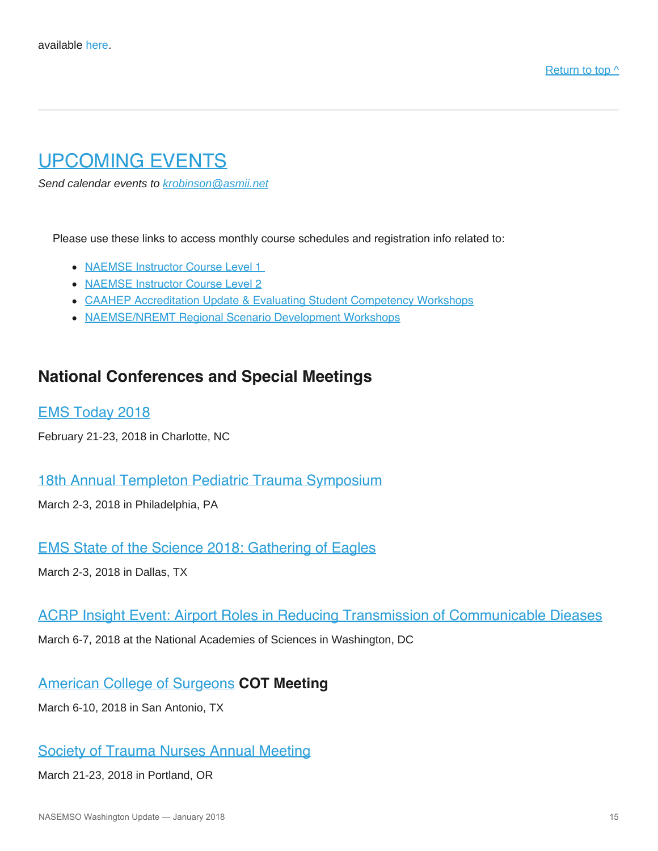### <span id="page-14-0"></span>UPCOMING EVENTS

*Send calendar events to [krobinson@asmii.net](mailto:krobinson@asmii.net?subject=Calendar%20Event%20for%20Washington%20Update)*

Please use these links to access monthly course schedules and registration info related to:

- [NAEMSE Instructor Course Level 1](http://naemse.org/?page=LVL1InstructorCourse)
- [NAEMSE Instructor Course Level 2](http://naemse.org/?page=LVL2InstructorCourse)
- [CAAHEP Accreditation Update & Evaluating Student Competency Workshops](http://naemse.org/?page=coaemsp)
- [NAEMSE/NREMT Regional Scenario Development Workshops](http://naemse.org/?page=nremt)

### **National Conferences and Special Meetings**

[EMS Today 2018](http://www.emstoday.com/index.html)

February 21-23, 2018 in Charlotte, NC

### [18th Annual Templeton Pediatric Trauma Symposium](https://chop.cloud-cme.com/aph.aspx?P=5&EID=571)

March 2-3, 2018 in Philadelphia, PA

### [EMS State of the Science 2018: Gathering of Eagles](http://gatheringofeagles.us/2018/2018information.htm)

March 2-3, 2018 in Dallas, TX

### [ACRP Insight Event: Airport Roles in Reducing Transmission of Communicable Dieases](https://projects.erg.com/conferences/acrp/register-acrp-insightevent.asp)

March 6-7, 2018 at the National Academies of Sciences in Washington, DC

### [American College of Surgeons](https://www.facs.org/) **COT Meeting**

March 6-10, 2018 in San Antonio, TX

### [Society of Trauma Nurses Annual Meeting](http://www.traumanurses.org/education/traumacon-2018)

March 21-23, 2018 in Portland, OR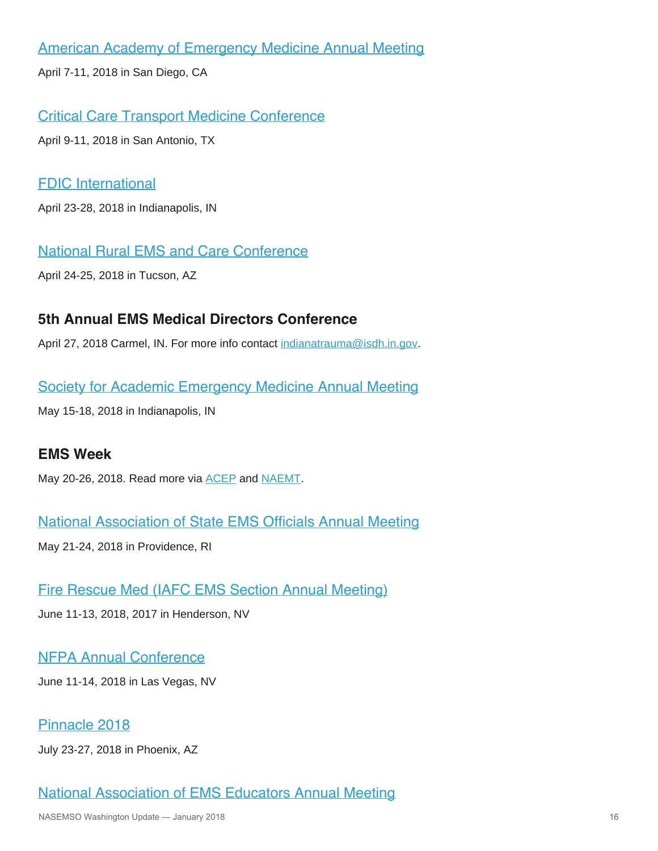[American Academy of Emergency Medicine Annual Meeting](http://www.aaem.org/)

April 7-11, 2018 in San Diego, CA

[Critical Care Transport Medicine Conference](http://www.iafccp.org/event/id/177507/Critical-Care-Transport-Medicine-Conference-CCTMC.htm)

April 9-11, 2018 in San Antonio, TX

### [FDIC International](http://www.fdic.com/index.html)

April 23-28, 2018 in Indianapolis, IN

[National Rural EMS and Care Conference](https://nosorh.org/calendar-events/ems/)

April 24-25, 2018 in Tucson, AZ

### **5th Annual EMS Medical Directors Conference**

April 27, 2018 Carmel, IN. For more info contact [indianatrauma@isdh.in.gov](mailto:indianatrauma@isdh.in.gov?subject=EMS%20Medical%20Directors%20Conference).

### [Society for Academic Emergency Medicine Annual Meeting](http://saem.org/annual-meeting)

May 15-18, 2018 in Indianapolis, IN

### **EMS Week**

May 20-26, 2018. Read more via **ACEP** and **NAEMT**.

[National Association of State EMS Officials Annual Meeting](https://www.nasemso.org/Meetings/Annual/2018/index.asp)

May 21-24, 2018 in Providence, RI

[Fire Rescue Med \(IAFC EMS Section Annual Meeting\)](https://www.iafc.org/events/event/2018/06/11/default-calendar/fire-rescue-med)

June 11-13, 2018, 2017 in Henderson, NV

### [NFPA Annual Conference](http://www.nfpa.org/Training-and-Events/By-type/Conferences/Conference)

June 11-14, 2018 in Las Vegas, NV

### [Pinnacle 2018](http://pinnacle-ems.com/)

July 23-27, 2018 in Phoenix, AZ

### [National Association of EMS Educators Annual Meeting](http://naemse.org/)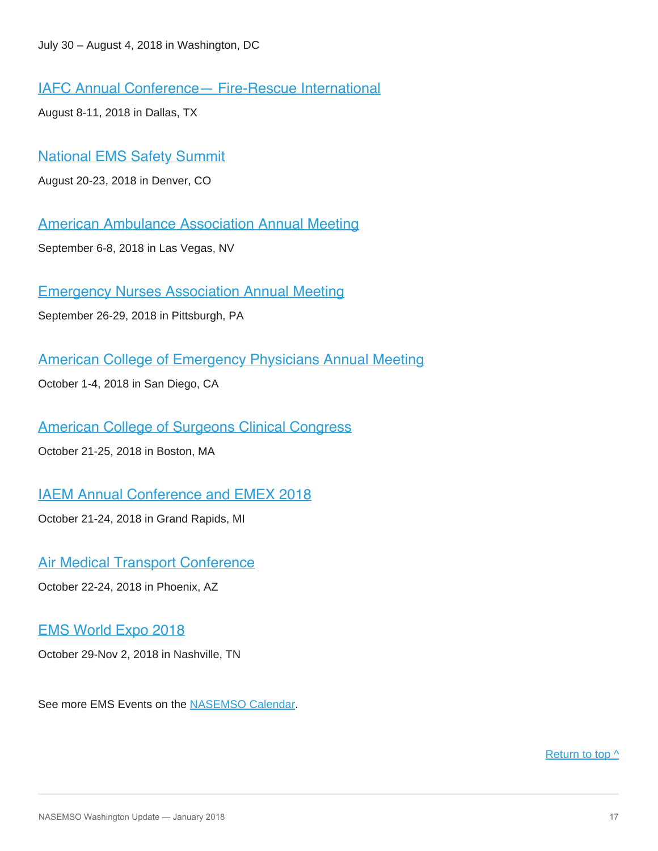[IAFC Annual Conference— Fire-Rescue International](http://events.iafc.org/micrositeFRIconf/)

August 8-11, 2018 in Dallas, TX

[National EMS Safety Summit](http://nationalemssafetysummit.org/)

August 20-23, 2018 in Denver, CO

[American Ambulance Association Annual Meeting](https://annual.ambulance.org/)

September 6-8, 2018 in Las Vegas, NV

[Emergency Nurses Association Annual Meeting](https://www.ena.org/)

September 26-29, 2018 in Pittsburgh, PA

[American College of Emergency Physicians Annual Meeting](https://www.acep.org/#sm.0001ljjb3ldd8ekwvvf1hv00y97ap)

October 1-4, 2018 in San Diego, CA

[American College of Surgeons Clinical Congress](https://www.facs.org/clincon2018)

October 21-25, 2018 in Boston, MA

[IAEM Annual Conference and EMEX 2018](http://www.iaem.com/)

October 21-24, 2018 in Grand Rapids, MI

[Air Medical Transport Conference](http://aams.org/education-meetings/)

October 22-24, 2018 in Phoenix, AZ

### [EMS World Expo 2018](http://www.emsworldexpo.com/)

October 29-Nov 2, 2018 in Nashville, TN

See more EMS Events on the [NASEMSO Calendar.](http://www.nasemso.org/Resources/Calendar/index.asp)

[Return to top ^](#page-0-0)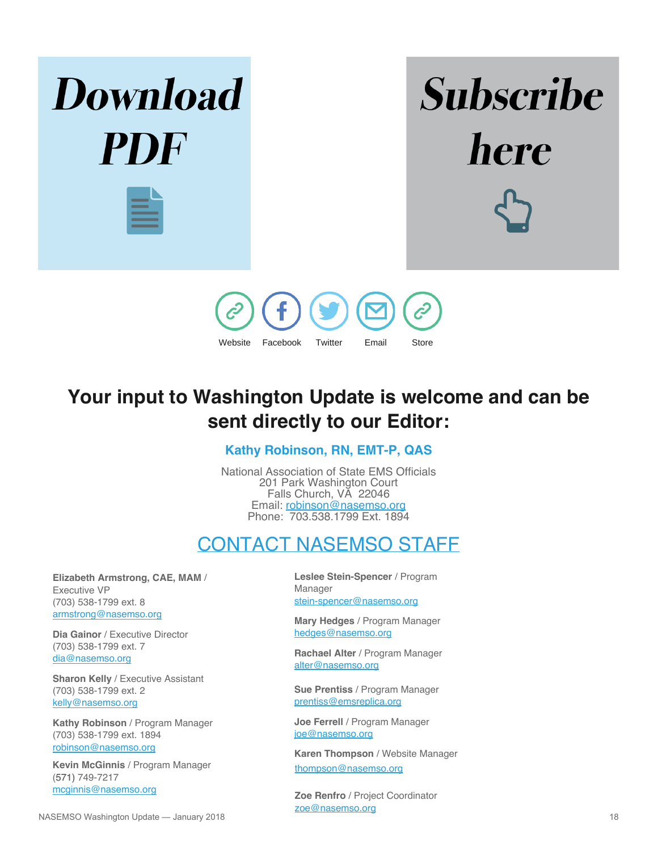



# **Your input to Washington Update is welcome and can be sent directly to our Editor:**

**Kathy Robinson, RN, EMT-P, QAS**

National Association of State EMS Officials 201 Park Washington Court Falls Church, VA 22046 Email: [robinson@nasemso.org](mailto:robinson@nasemso.org) Phone: 703.538.1799 Ext. 1894

### CONTACT NASEMSO STAFF

<span id="page-17-0"></span>**Elizabeth Armstrong, CAE, MAM** / Executive VP (703) 538-1799 ext. 8 [armstrong@nasemso.org](mailto:armstrong@nasemso.org)

**Dia Gainor** / Executive Director (703) 538-1799 ext. 7 [dia@nasemso.org](mailto:dia@nasemso.org)

**Sharon Kelly** / Executive Assistant (703) 538-1799 ext. 2 [kelly@nasemso.org](mailto:kelly@nasemso.org)

**Kathy Robinson** / Program Manager (703) 538-1799 ext. 1894 [robinson@nasemso.org](mailto:robinson@nasemso.org)

**Kevin McGinnis** / Program Manager (571) 749-7217 [mcginnis@nasemso.org](mailto:mcginnis@nasemso.org)

**Leslee Stein-Spencer** / Program Manager [stein-spencer@nasemso.org](mailto:stein-spencer@nasemso.org)

**Mary Hedges** / Program Manager [hedges@nasemso.org](mailto:hedges@nasemso.org)

**Rachael Alter** / Program Manager [alter@nasemso.org](mailto:alter@nasemso.org)

**Sue Prentiss** / Program Manager [prentiss@emsreplica.org](mailto:prentiss@emsreplica.org)

**Joe Ferrell** / Program Manager [joe@nasemso.org](mailto:joe@nasemso.org)

**Karen Thompson** / Website Manager [thompson@nasemso.org](mailto:thompson@nasemso.org)

**Zoe Renfro** / Project Coordinator [zoe@nasemso.org](mailto:zoe@nasemso.org)